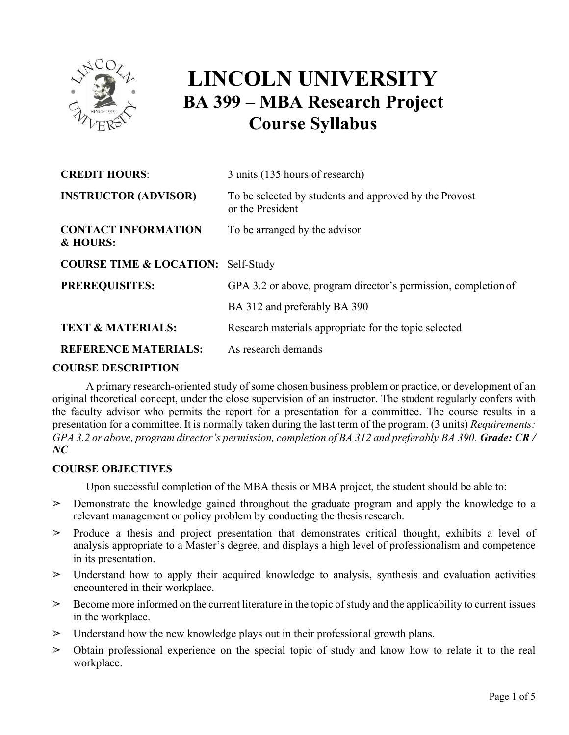

# **LINCOLN UNIVERSITY BA 399 – MBA Research Project Course Syllabus**

| <b>CREDIT HOURS:</b>                          | 3 units (135 hours of research)                                            |
|-----------------------------------------------|----------------------------------------------------------------------------|
| <b>INSTRUCTOR (ADVISOR)</b>                   | To be selected by students and approved by the Provost<br>or the President |
| <b>CONTACT INFORMATION</b><br>& HOURS:        | To be arranged by the advisor                                              |
| <b>COURSE TIME &amp; LOCATION: Self-Study</b> |                                                                            |
| <b>PREREQUISITES:</b>                         | GPA 3.2 or above, program director's permission, completion of             |
|                                               | BA 312 and preferably BA 390                                               |
| <b>TEXT &amp; MATERIALS:</b>                  | Research materials appropriate for the topic selected                      |
| <b>REFERENCE MATERIALS:</b>                   | As research demands                                                        |
|                                               |                                                                            |

#### **COURSE DESCRIPTION**

A primary research-oriented study of some chosen business problem or practice, or development of an original theoretical concept, under the close supervision of an instructor. The student regularly confers with the faculty advisor who permits the report for a presentation for a committee. The course results in a presentation for a committee. It is normally taken during the last term of the program. (3 units) *Requirements: GPA 3.2 or above, program director's permission, completion of BA 312 and preferably BA 390. Grade: CR / NC* 

#### **COURSE OBJECTIVES**

Upon successful completion of the MBA thesis or MBA project, the student should be able to:

- ! Demonstrate the knowledge gained throughout the graduate program and apply the knowledge to a relevant management or policy problem by conducting the thesis research.
- $\geq$  Produce a thesis and project presentation that demonstrates critical thought, exhibits a level of analysis appropriate to a Master's degree, and displays a high level of professionalism and competence in its presentation.
- $\geq$  Understand how to apply their acquired knowledge to analysis, synthesis and evaluation activities encountered in their workplace.
- $\geq$  Become more informed on the current literature in the topic of study and the applicability to current issues in the workplace.
- $\geq$  Understand how the new knowledge plays out in their professional growth plans.
- $\geq$  Obtain professional experience on the special topic of study and know how to relate it to the real workplace.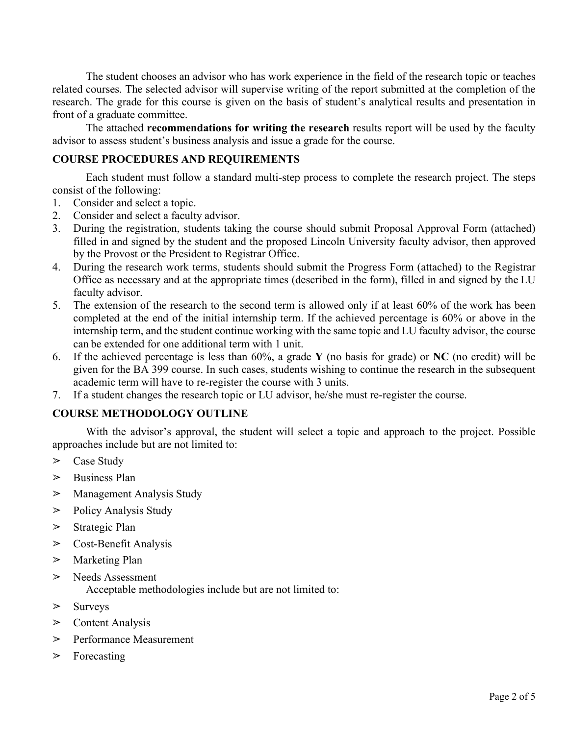The student chooses an advisor who has work experience in the field of the research topic or teaches related courses. The selected advisor will supervise writing of the report submitted at the completion of the research. The grade for this course is given on the basis of student's analytical results and presentation in front of a graduate committee.

The attached **recommendations for writing the research** results report will be used by the faculty advisor to assess student's business analysis and issue a grade for the course.

### **COURSE PROCEDURES AND REQUIREMENTS**

Each student must follow a standard multi-step process to complete the research project. The steps consist of the following:

- 1. Consider and select a topic.
- 2. Consider and select a faculty advisor.
- 3. During the registration, students taking the course should submit Proposal Approval Form (attached) filled in and signed by the student and the proposed Lincoln University faculty advisor, then approved by the Provost or the President to Registrar Office.
- 4. During the research work terms, students should submit the Progress Form (attached) to the Registrar Office as necessary and at the appropriate times (described in the form), filled in and signed by the LU faculty advisor.
- 5. The extension of the research to the second term is allowed only if at least 60% of the work has been completed at the end of the initial internship term. If the achieved percentage is 60% or above in the internship term, and the student continue working with the same topic and LU faculty advisor, the course can be extended for one additional term with 1 unit.
- 6. If the achieved percentage is less than 60%, a grade **Y** (no basis for grade) or **NC** (no credit) will be given for the BA 399 course. In such cases, students wishing to continue the research in the subsequent academic term will have to re-register the course with 3 units.
- 7. If a student changes the research topic or LU advisor, he/she must re-register the course.

#### **COURSE METHODOLOGY OUTLINE**

With the advisor's approval, the student will select a topic and approach to the project. Possible approaches include but are not limited to:

- $\triangleright$  Case Study
- $\triangleright$  Business Plan
- $\triangleright$  Management Analysis Study
- $\triangleright$  Policy Analysis Study
- $\triangleright$  Strategic Plan
- $\triangleright$  Cost-Benefit Analysis
- $\triangleright$  Marketing Plan
- > Needs Assessment Acceptable methodologies include but are not limited to:
- $\triangleright$  Surveys
- $\triangleright$  Content Analysis
- $\triangleright$  Performance Measurement
- $\triangleright$  Forecasting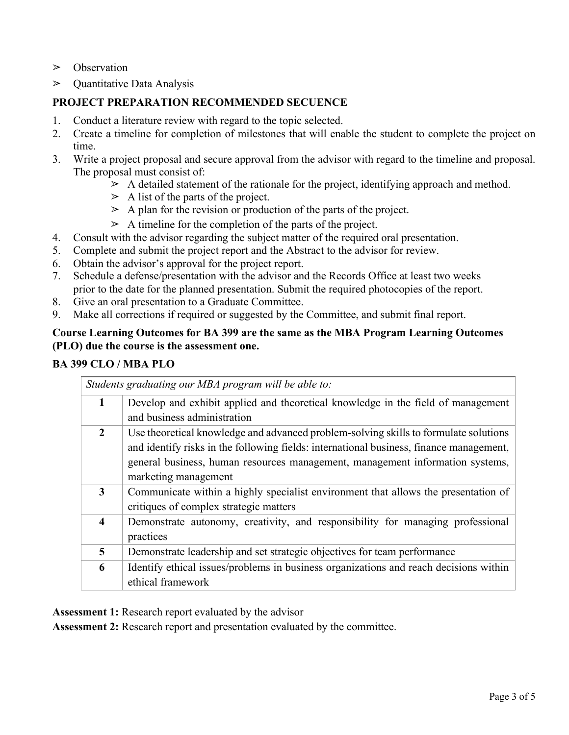- $\triangleright$  Observation
- $\triangleright$  Quantitative Data Analysis

### **PROJECT PREPARATION RECOMMENDED SECUENCE**

- 1. Conduct a literature review with regard to the topic selected.
- 2. Create a timeline for completion of milestones that will enable the student to complete the project on time.
- 3. Write a project proposal and secure approval from the advisor with regard to the timeline and proposal. The proposal must consist of:
	- $\geq$  A detailed statement of the rationale for the project, identifying approach and method.
	- $\geq$  A list of the parts of the project.
	- $\geq$  A plan for the revision or production of the parts of the project.
	- $\geq$  A timeline for the completion of the parts of the project.
- 4. Consult with the advisor regarding the subject matter of the required oral presentation.
- 5. Complete and submit the project report and the Abstract to the advisor for review.
- 6. Obtain the advisor's approval for the project report.
- 7. Schedule a defense/presentation with the advisor and the Records Office at least two weeks prior to the date for the planned presentation. Submit the required photocopies of the report.
- 8. Give an oral presentation to a Graduate Committee.
- 9. Make all corrections if required or suggested by the Committee, and submit final report.

#### **Course Learning Outcomes for BA 399 are the same as the MBA Program Learning Outcomes (PLO) due the course is the assessment one.**

## **BA 399 CLO / MBA PLO**

|                         | Students graduating our MBA program will be able to:                                                                                                                                                                                                                                     |  |
|-------------------------|------------------------------------------------------------------------------------------------------------------------------------------------------------------------------------------------------------------------------------------------------------------------------------------|--|
| $\mathbf{1}$            | Develop and exhibit applied and theoretical knowledge in the field of management<br>and business administration                                                                                                                                                                          |  |
| $\mathbf{2}$            | Use theoretical knowledge and advanced problem-solving skills to formulate solutions<br>and identify risks in the following fields: international business, finance management,<br>general business, human resources management, management information systems,<br>marketing management |  |
| 3                       | Communicate within a highly specialist environment that allows the presentation of<br>critiques of complex strategic matters                                                                                                                                                             |  |
| $\overline{\mathbf{4}}$ | Demonstrate autonomy, creativity, and responsibility for managing professional<br>practices                                                                                                                                                                                              |  |
| 5                       | Demonstrate leadership and set strategic objectives for team performance                                                                                                                                                                                                                 |  |
| 6                       | Identify ethical issues/problems in business organizations and reach decisions within<br>ethical framework                                                                                                                                                                               |  |

**Assessment 1:** Research report evaluated by the advisor

**Assessment 2:** Research report and presentation evaluated by the committee.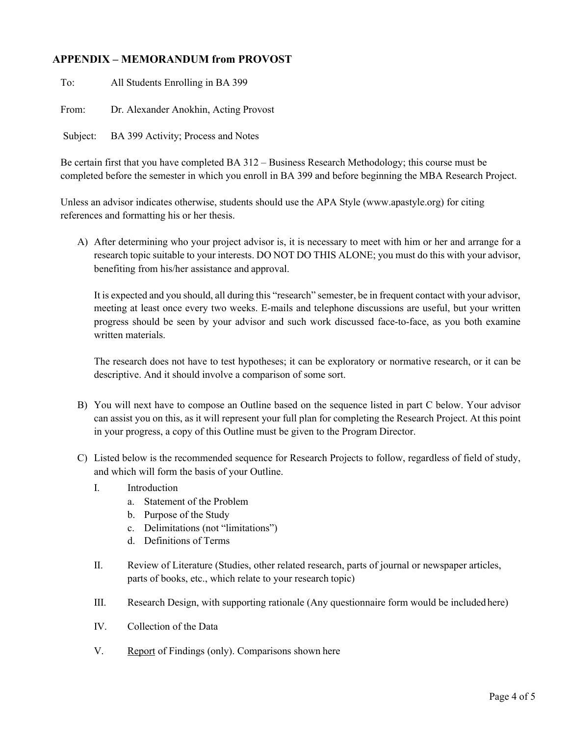#### **APPENDIX – MEMORANDUM from PROVOST**

To: All Students Enrolling in BA 399 From: Dr. Alexander Anokhin, Acting Provost Subject: BA 399 Activity; Process and Notes

Be certain first that you have completed BA 312 – Business Research Methodology; this course must be completed before the semester in which you enroll in BA 399 and before beginning the MBA Research Project.

Unless an advisor indicates otherwise, students should use the APA Style (www.apastyle.org) for citing references and formatting his or her thesis.

A) After determining who your project advisor is, it is necessary to meet with him or her and arrange for a research topic suitable to your interests. DO NOT DO THIS ALONE; you must do this with your advisor, benefiting from his/her assistance and approval.

It is expected and you should, all during this "research" semester, be in frequent contact with your advisor, meeting at least once every two weeks. E-mails and telephone discussions are useful, but your written progress should be seen by your advisor and such work discussed face-to-face, as you both examine written materials.

The research does not have to test hypotheses; it can be exploratory or normative research, or it can be descriptive. And it should involve a comparison of some sort.

- B) You will next have to compose an Outline based on the sequence listed in part C below. Your advisor can assist you on this, as it will represent your full plan for completing the Research Project. At this point in your progress, a copy of this Outline must be given to the Program Director.
- C) Listed below is the recommended sequence for Research Projects to follow, regardless of field of study, and which will form the basis of your Outline.
	- I. Introduction
		- a. Statement of the Problem
		- b. Purpose of the Study
		- c. Delimitations (not "limitations")
		- d. Definitions of Terms
	- II. Review of Literature (Studies, other related research, parts of journal or newspaper articles, parts of books, etc., which relate to your research topic)
	- III. Research Design, with supporting rationale (Any questionnaire form would be includedhere)
	- IV. Collection of the Data
	- V. Report of Findings (only). Comparisons shown here